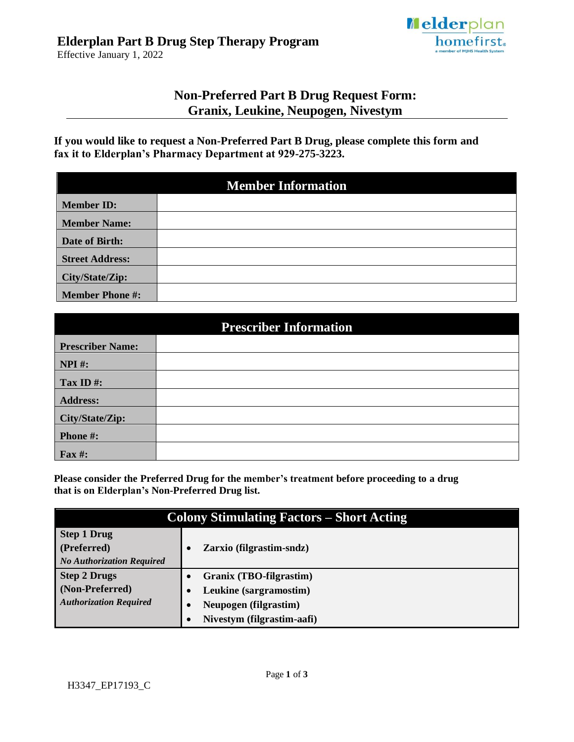

Effective January 1, 2022

# **Non-Preferred Part B Drug Request Form: Granix, Leukine, Neupogen, Nivestym**

**If you would like to request a Non-Preferred Part B Drug, please complete this form and fax it to Elderplan's Pharmacy Department at 929-275-3223.**

| <b>Member Information</b> |  |  |
|---------------------------|--|--|
| <b>Member ID:</b>         |  |  |
| <b>Member Name:</b>       |  |  |
| Date of Birth:            |  |  |
| <b>Street Address:</b>    |  |  |
| City/State/Zip:           |  |  |
| <b>Member Phone #:</b>    |  |  |

| <b>Prescriber Information</b> |  |  |
|-------------------------------|--|--|
| <b>Prescriber Name:</b>       |  |  |
| $NPI$ #:                      |  |  |
| Tax ID $#$ :                  |  |  |
| <b>Address:</b>               |  |  |
| City/State/Zip:               |  |  |
| Phone #:                      |  |  |
| <b>Fax#:</b>                  |  |  |

**Please consider the Preferred Drug for the member's treatment before proceeding to a drug that is on Elderplan's Non-Preferred Drug list.**

| <b>Colony Stimulating Factors – Short Acting</b> |                            |  |
|--------------------------------------------------|----------------------------|--|
| <b>Step 1 Drug</b>                               |                            |  |
| (Preferred)                                      | Zarxio (filgrastim-sndz)   |  |
| <b>No Authorization Required</b>                 |                            |  |
| <b>Step 2 Drugs</b>                              | Granix (TBO-filgrastim)    |  |
| (Non-Preferred)                                  | Leukine (sargramostim)     |  |
| <b>Authorization Required</b>                    | Neupogen (filgrastim)      |  |
|                                                  | Nivestym (filgrastim-aafi) |  |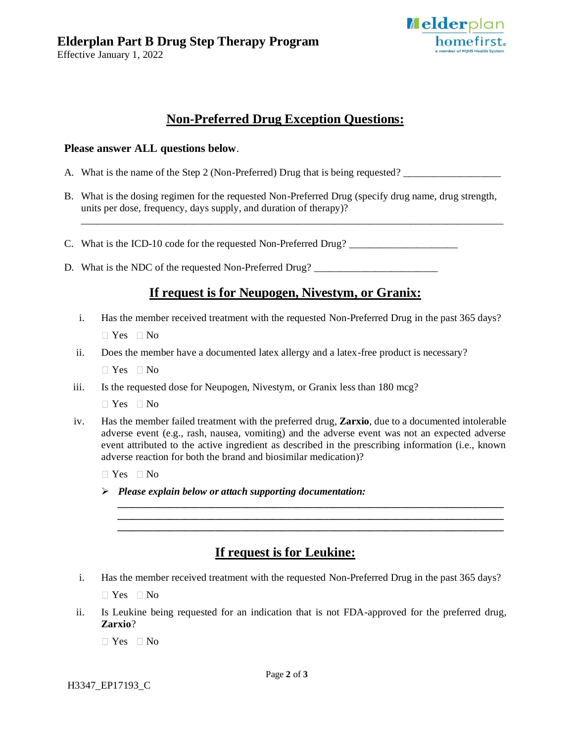Effective January 1, 2022



# **Non-Preferred Drug Exception Questions:**

#### **Please answer ALL questions below**.

- A. What is the name of the Step 2 (Non-Preferred) Drug that is being requested?
- B. What is the dosing regimen for the requested Non-Preferred Drug (specify drug name, drug strength, units per dose, frequency, days supply, and duration of therapy)?

\_\_\_\_\_\_\_\_\_\_\_\_\_\_\_\_\_\_\_\_\_\_\_\_\_\_\_\_\_\_\_\_\_\_\_\_\_\_\_\_\_\_\_\_\_\_\_\_\_\_\_\_\_\_\_\_\_\_\_\_\_\_\_\_\_\_\_\_\_\_\_\_\_\_\_\_\_\_\_\_\_\_

- C. What is the ICD-10 code for the requested Non-Preferred Drug? \_\_\_\_\_\_\_\_\_\_\_\_\_\_\_\_\_\_\_\_\_\_
- D. What is the NDC of the requested Non-Preferred Drug? \_\_\_\_\_\_\_\_\_\_\_\_\_\_\_\_\_\_\_\_\_\_\_\_

### **If request is for Neupogen, Nivestym, or Granix:**

i. Has the member received treatment with the requested Non-Preferred Drug in the past 365 days?

 $\Box$  Yes  $\Box$  No

ii. Does the member have a documented latex allergy and a latex-free product is necessary?

 $\Box$  Yes  $\Box$  No

iii. Is the requested dose for Neupogen, Nivestym, or Granix less than 180 mcg?

 $\Box$  Yes  $\Box$  No

iv. Has the member failed treatment with the preferred drug, **Zarxio**, due to a documented intolerable adverse event (e.g., rash, nausea, vomiting) and the adverse event was not an expected adverse event attributed to the active ingredient as described in the prescribing information (i.e., known adverse reaction for both the brand and biosimilar medication)?

> *\_\_\_\_\_\_\_\_\_\_\_\_\_\_\_\_\_\_\_\_\_\_\_\_\_\_\_\_\_\_\_\_\_\_\_\_\_\_\_\_\_\_\_\_\_\_\_\_\_\_\_\_\_\_\_\_\_\_\_\_\_\_\_\_\_\_\_\_\_\_\_\_\_\_\_ \_\_\_\_\_\_\_\_\_\_\_\_\_\_\_\_\_\_\_\_\_\_\_\_\_\_\_\_\_\_\_\_\_\_\_\_\_\_\_\_\_\_\_\_\_\_\_\_\_\_\_\_\_\_\_\_\_\_\_\_\_\_\_\_\_\_\_\_\_\_\_\_\_\_\_ \_\_\_\_\_\_\_\_\_\_\_\_\_\_\_\_\_\_\_\_\_\_\_\_\_\_\_\_\_\_\_\_\_\_\_\_\_\_\_\_\_\_\_\_\_\_\_\_\_\_\_\_\_\_\_\_\_\_\_\_\_\_\_\_\_\_\_\_\_\_\_\_\_\_\_*

 $\Box$  Yes  $\Box$  No

➢ *Please explain below or attach supporting documentation:*

# **If request is for Leukine:**

i. Has the member received treatment with the requested Non-Preferred Drug in the past 365 days?

 $\Box$  Yes  $\Box$  No

ii. Is Leukine being requested for an indication that is not FDA-approved for the preferred drug, **Zarxio**?

 $\Box$  Yes  $\Box$  No